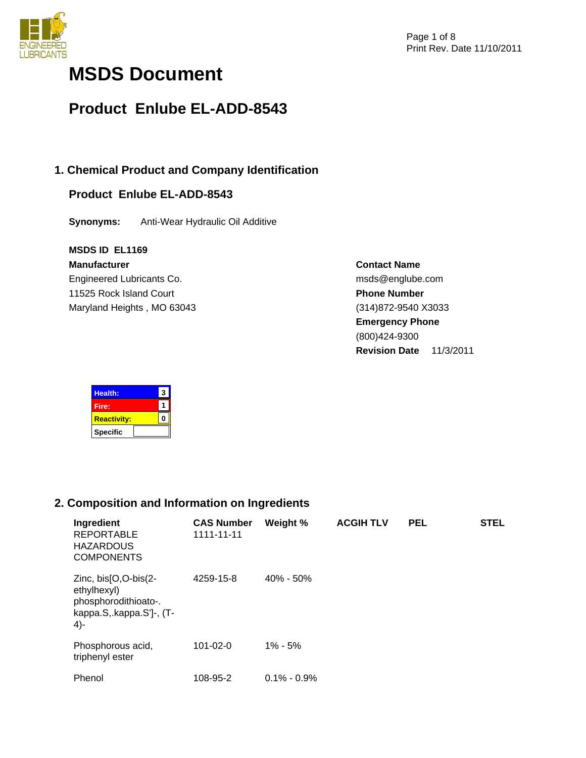

# **MSDS Document**

# **Product Enlube EL-ADD-8543**

# **1. Chemical Product and Company Identification**

# **Product Enlube EL-ADD-8543**

**Synonyms:** Anti-Wear Hydraulic Oil Additive

### **MSDS ID EL1169**

**Manufacturer** Engineered Lubricants Co. 11525 Rock Island Court Maryland Heights , MO 63043 **Contact Name** msds@englube.com **Phone Number** (314)872-9540 X3033 **Emergency Phone** (800)424-9300 **Revision Date** 11/3/2011

| <b>Health:</b>     | 3 |
|--------------------|---|
| Fire:              |   |
| <b>Reactivity:</b> |   |
| <b>Specific</b>    |   |

# **2. Composition and Information on Ingredients**

| Ingredient<br><b>REPORTABLE</b><br><b>HAZARDOUS</b><br><b>COMPONENTS</b>                          | <b>CAS Number</b><br>1111-11-11 | Weight %        | <b>ACGIH TLV</b> | <b>PEL</b> | <b>STEL</b> |
|---------------------------------------------------------------------------------------------------|---------------------------------|-----------------|------------------|------------|-------------|
| Zinc, bis[O,O-bis(2-<br>ethylhexyl)<br>phosphorodithioato-.<br>kappa.S, kappa.S']-, (T-<br>$4) -$ | 4259-15-8                       | $40\% - 50\%$   |                  |            |             |
| Phosphorous acid,<br>triphenyl ester                                                              | $101 - 02 - 0$                  | $1\% - 5\%$     |                  |            |             |
| Phenol                                                                                            | 108-95-2                        | $0.1\% - 0.9\%$ |                  |            |             |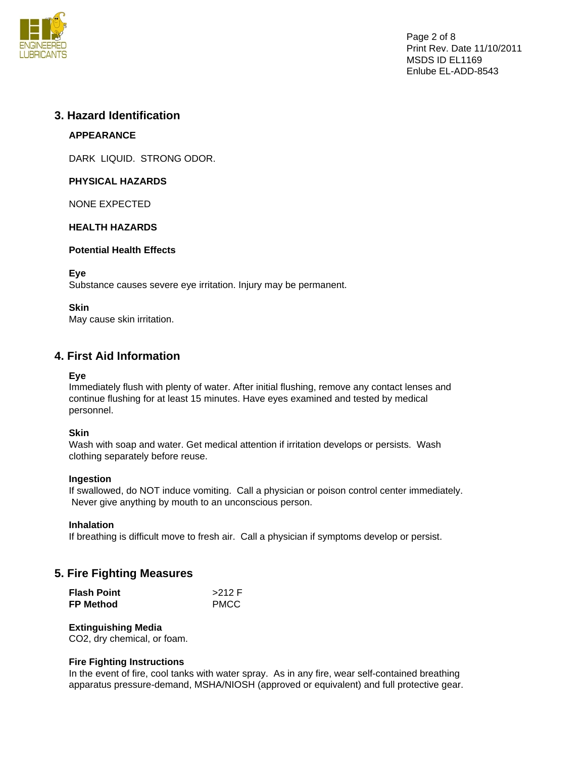

Page 2 of 8 Print Rev. Date 11/10/2011 MSDS ID EL1169 Enlube EL-ADD-8543

### **3. Hazard Identification**

### **APPEARANCE**

DARK LIQUID. STRONG ODOR.

### **PHYSICAL HAZARDS**

NONE EXPECTED

### **HEALTH HAZARDS**

### **Potential Health Effects**

### **Eye**

Substance causes severe eye irritation. Injury may be permanent.

### **Skin**

May cause skin irritation.

# **4. First Aid Information**

### **Eye**

Immediately flush with plenty of water. After initial flushing, remove any contact lenses and continue flushing for at least 15 minutes. Have eyes examined and tested by medical personnel.

### **Skin**

Wash with soap and water. Get medical attention if irritation develops or persists. Wash clothing separately before reuse.

#### **Ingestion**

If swallowed, do NOT induce vomiting. Call a physician or poison control center immediately. Never give anything by mouth to an unconscious person.

#### **Inhalation**

If breathing is difficult move to fresh air. Call a physician if symptoms develop or persist.

# **5. Fire Fighting Measures**

| <b>Flash Point</b> | $>212$ F    |
|--------------------|-------------|
| <b>FP Method</b>   | <b>PMCC</b> |

### **Extinguishing Media**

CO2, dry chemical, or foam.

#### **Fire Fighting Instructions**

In the event of fire, cool tanks with water spray. As in any fire, wear self-contained breathing apparatus pressure-demand, MSHA/NIOSH (approved or equivalent) and full protective gear.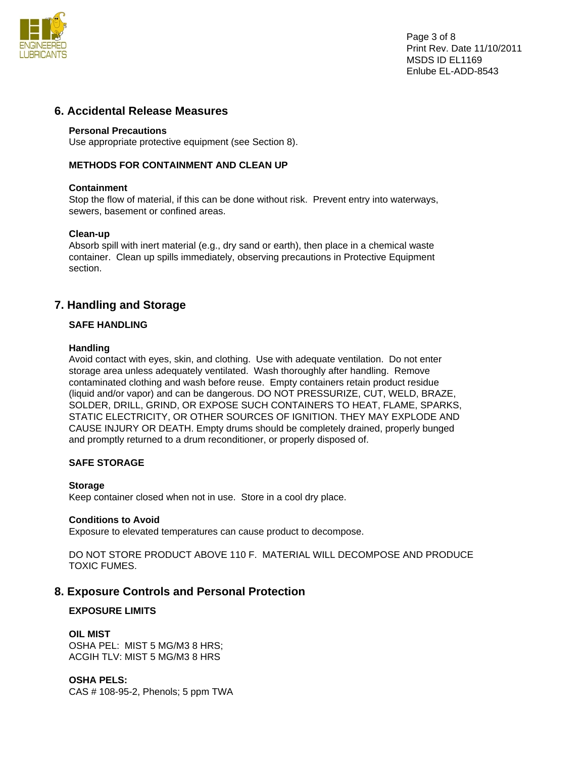

Page 3 of 8 Print Rev. Date 11/10/2011 MSDS ID EL1169 Enlube EL-ADD-8543

### **6. Accidental Release Measures**

#### **Personal Precautions**

Use appropriate protective equipment (see Section 8).

### **METHODS FOR CONTAINMENT AND CLEAN UP**

#### **Containment**

Stop the flow of material, if this can be done without risk. Prevent entry into waterways, sewers, basement or confined areas.

#### **Clean-up**

Absorb spill with inert material (e.g., dry sand or earth), then place in a chemical waste container. Clean up spills immediately, observing precautions in Protective Equipment section.

### **7. Handling and Storage**

#### **SAFE HANDLING**

#### **Handling**

Avoid contact with eyes, skin, and clothing. Use with adequate ventilation. Do not enter storage area unless adequately ventilated. Wash thoroughly after handling. Remove contaminated clothing and wash before reuse. Empty containers retain product residue (liquid and/or vapor) and can be dangerous. DO NOT PRESSURIZE, CUT, WELD, BRAZE, SOLDER, DRILL, GRIND, OR EXPOSE SUCH CONTAINERS TO HEAT, FLAME, SPARKS, STATIC ELECTRICITY, OR OTHER SOURCES OF IGNITION. THEY MAY EXPLODE AND CAUSE INJURY OR DEATH. Empty drums should be completely drained, properly bunged and promptly returned to a drum reconditioner, or properly disposed of.

#### **SAFE STORAGE**

#### **Storage**

Keep container closed when not in use. Store in a cool dry place.

#### **Conditions to Avoid**

Exposure to elevated temperatures can cause product to decompose.

DO NOT STORE PRODUCT ABOVE 110 F. MATERIAL WILL DECOMPOSE AND PRODUCE TOXIC FUMES.

### **8. Exposure Controls and Personal Protection**

### **EXPOSURE LIMITS**

#### **OIL MIST**

OSHA PEL: MIST 5 MG/M3 8 HRS; ACGIH TLV: MIST 5 MG/M3 8 HRS

#### **OSHA PELS:**

CAS # 108-95-2, Phenols; 5 ppm TWA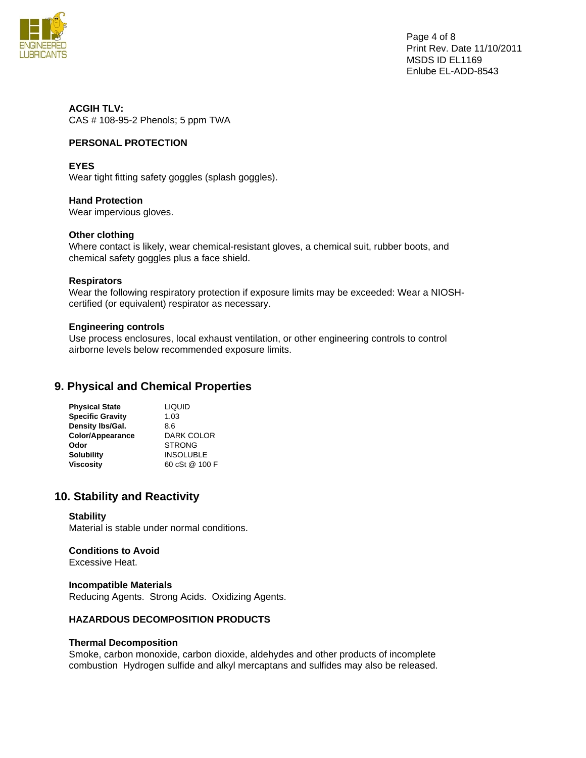

Page 4 of 8 Print Rev. Date 11/10/2011 MSDS ID EL1169 Enlube EL-ADD-8543

**ACGIH TLV:**  CAS # 108-95-2 Phenols; 5 ppm TWA

### **PERSONAL PROTECTION**

#### **EYES**

Wear tight fitting safety goggles (splash goggles).

### **Hand Protection**

Wear impervious gloves.

### **Other clothing**

Where contact is likely, wear chemical-resistant gloves, a chemical suit, rubber boots, and chemical safety goggles plus a face shield.

#### **Respirators**

Wear the following respiratory protection if exposure limits may be exceeded: Wear a NIOSHcertified (or equivalent) respirator as necessary.

#### **Engineering controls**

Use process enclosures, local exhaust ventilation, or other engineering controls to control airborne levels below recommended exposure limits.

### **9. Physical and Chemical Properties**

| <b>LIQUID</b>    |
|------------------|
| 1.03             |
| 8.6              |
| DARK COLOR       |
| <b>STRONG</b>    |
| <b>INSOLUBLE</b> |
| 60 cSt @ 100 F   |
|                  |

### **10. Stability and Reactivity**

#### **Stability**

Material is stable under normal conditions.

# **Conditions to Avoid**

Excessive Heat.

### **Incompatible Materials**

Reducing Agents. Strong Acids. Oxidizing Agents.

#### **HAZARDOUS DECOMPOSITION PRODUCTS**

#### **Thermal Decomposition**

Smoke, carbon monoxide, carbon dioxide, aldehydes and other products of incomplete combustion Hydrogen sulfide and alkyl mercaptans and sulfides may also be released.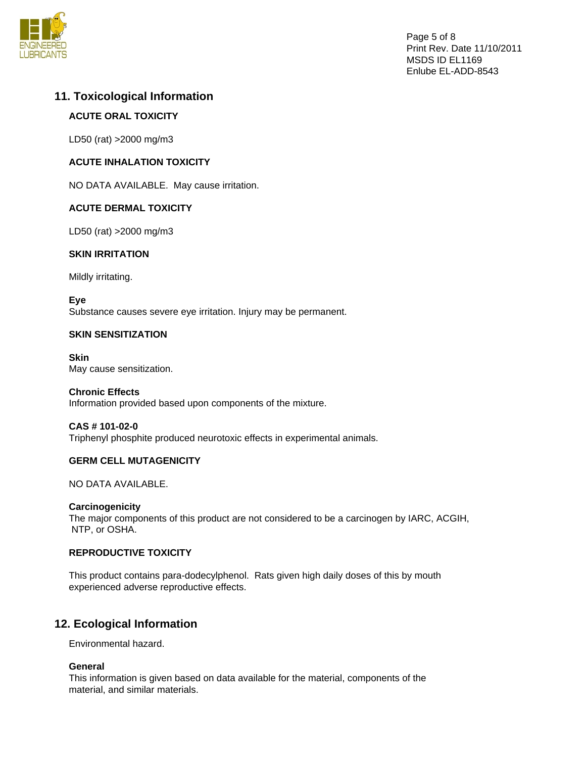

# **11. Toxicological Information**

## **ACUTE ORAL TOXICITY**

LD50 (rat) >2000 mg/m3

### **ACUTE INHALATION TOXICITY**

NO DATA AVAILABLE. May cause irritation.

### **ACUTE DERMAL TOXICITY**

LD50 (rat) >2000 mg/m3

### **SKIN IRRITATION**

Mildly irritating.

**Eye**  Substance causes severe eye irritation. Injury may be permanent.

### **SKIN SENSITIZATION**

**Skin**  May cause sensitization.

**Chronic Effects**  Information provided based upon components of the mixture.

# **CAS # 101-02-0**

Triphenyl phosphite produced neurotoxic effects in experimental animals.

### **GERM CELL MUTAGENICITY**

NO DATA AVAILABLE.

### **Carcinogenicity**

The major components of this product are not considered to be a carcinogen by IARC, ACGIH, NTP, or OSHA.

### **REPRODUCTIVE TOXICITY**

This product contains para-dodecylphenol. Rats given high daily doses of this by mouth experienced adverse reproductive effects.

# **12. Ecological Information**

Environmental hazard.

### **General**

This information is given based on data available for the material, components of the material, and similar materials.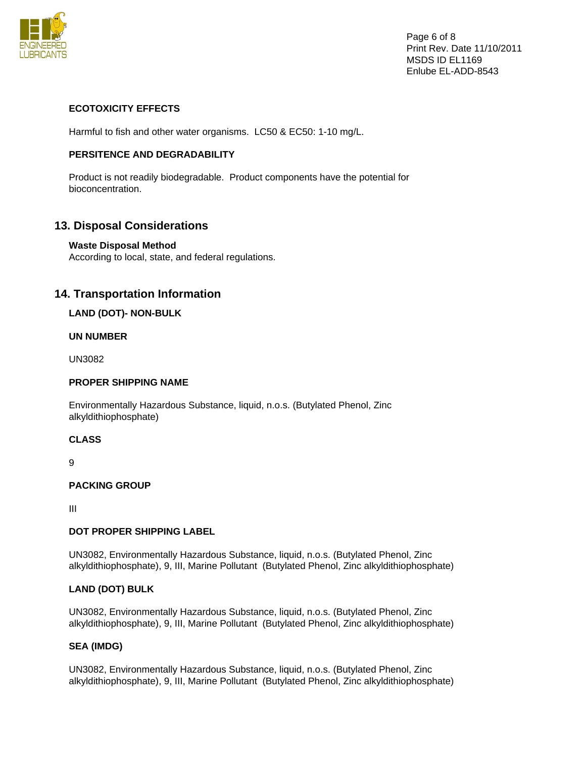

Page 6 of 8 Print Rev. Date 11/10/2011 MSDS ID EL1169 Enlube EL-ADD-8543

### **ECOTOXICITY EFFECTS**

Harmful to fish and other water organisms. LC50 & EC50: 1-10 mg/L.

### **PERSITENCE AND DEGRADABILITY**

Product is not readily biodegradable. Product components have the potential for bioconcentration.

# **13. Disposal Considerations**

### **Waste Disposal Method**

According to local, state, and federal regulations.

# **14. Transportation Information**

### **LAND (DOT)- NON-BULK**

### **UN NUMBER**

UN3082

### **PROPER SHIPPING NAME**

Environmentally Hazardous Substance, liquid, n.o.s. (Butylated Phenol, Zinc alkyldithiophosphate)

#### **CLASS**

9

### **PACKING GROUP**

III

### **DOT PROPER SHIPPING LABEL**

UN3082, Environmentally Hazardous Substance, liquid, n.o.s. (Butylated Phenol, Zinc alkyldithiophosphate), 9, III, Marine Pollutant (Butylated Phenol, Zinc alkyldithiophosphate)

### **LAND (DOT) BULK**

UN3082, Environmentally Hazardous Substance, liquid, n.o.s. (Butylated Phenol, Zinc alkyldithiophosphate), 9, III, Marine Pollutant (Butylated Phenol, Zinc alkyldithiophosphate)

### **SEA (IMDG)**

UN3082, Environmentally Hazardous Substance, liquid, n.o.s. (Butylated Phenol, Zinc alkyldithiophosphate), 9, III, Marine Pollutant (Butylated Phenol, Zinc alkyldithiophosphate)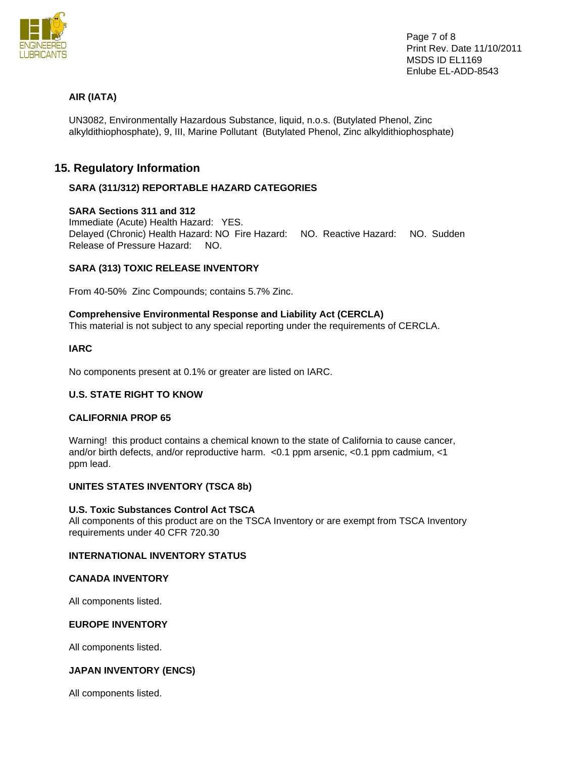

### **AIR (IATA)**

UN3082, Environmentally Hazardous Substance, liquid, n.o.s. (Butylated Phenol, Zinc alkyldithiophosphate), 9, III, Marine Pollutant (Butylated Phenol, Zinc alkyldithiophosphate)

## **15. Regulatory Information**

### **SARA (311/312) REPORTABLE HAZARD CATEGORIES**

### **SARA Sections 311 and 312**

Immediate (Acute) Health Hazard: YES. Delayed (Chronic) Health Hazard: NO Fire Hazard: NO. Reactive Hazard: NO. Sudden Release of Pressure Hazard: NO.

### **SARA (313) TOXIC RELEASE INVENTORY**

From 40-50% Zinc Compounds; contains 5.7% Zinc.

### **Comprehensive Environmental Response and Liability Act (CERCLA)**

This material is not subject to any special reporting under the requirements of CERCLA.

#### **IARC**

No components present at 0.1% or greater are listed on IARC.

#### **U.S. STATE RIGHT TO KNOW**

#### **CALIFORNIA PROP 65**

Warning! this product contains a chemical known to the state of California to cause cancer, and/or birth defects, and/or reproductive harm. <0.1 ppm arsenic, <0.1 ppm cadmium, <1 ppm lead.

#### **UNITES STATES INVENTORY (TSCA 8b)**

#### **U.S. Toxic Substances Control Act TSCA**

All components of this product are on the TSCA Inventory or are exempt from TSCA Inventory requirements under 40 CFR 720.30

#### **INTERNATIONAL INVENTORY STATUS**

#### **CANADA INVENTORY**

All components listed.

#### **EUROPE INVENTORY**

All components listed.

#### **JAPAN INVENTORY (ENCS)**

All components listed.